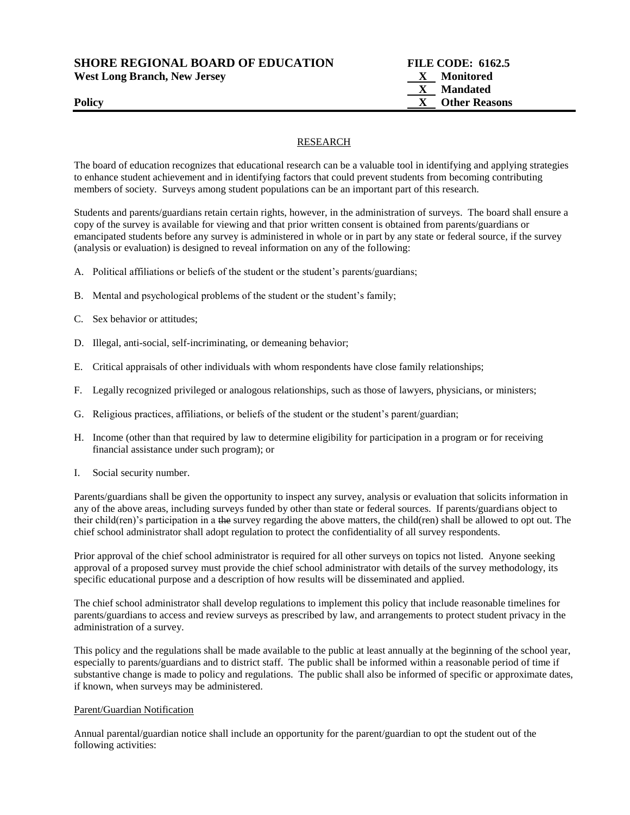**SHORE REGIONAL BOARD OF EDUCATION FILE CODE: 6162.5** 

West Long Branch, New Jersey **X** Monitored

# RESEARCH

The board of education recognizes that educational research can be a valuable tool in identifying and applying strategies to enhance student achievement and in identifying factors that could prevent students from becoming contributing members of society. Surveys among student populations can be an important part of this research.

Students and parents/guardians retain certain rights, however, in the administration of surveys. The board shall ensure a copy of the survey is available for viewing and that prior written consent is obtained from parents/guardians or emancipated students before any survey is administered in whole or in part by any state or federal source, if the survey (analysis or evaluation) is designed to reveal information on any of the following:

- A. Political affiliations or beliefs of the student or the student's parents/guardians;
- B. Mental and psychological problems of the student or the student's family;
- C. Sex behavior or attitudes;
- D. Illegal, anti-social, self-incriminating, or demeaning behavior;
- E. Critical appraisals of other individuals with whom respondents have close family relationships;
- F. Legally recognized privileged or analogous relationships, such as those of lawyers, physicians, or ministers;
- G. Religious practices, affiliations, or beliefs of the student or the student's parent/guardian;
- H. Income (other than that required by law to determine eligibility for participation in a program or for receiving financial assistance under such program); or
- I. Social security number.

Parents/guardians shall be given the opportunity to inspect any survey, analysis or evaluation that solicits information in any of the above areas, including surveys funded by other than state or federal sources. If parents/guardians object to their child(ren)'s participation in a the survey regarding the above matters, the child(ren) shall be allowed to opt out. The chief school administrator shall adopt regulation to protect the confidentiality of all survey respondents.

Prior approval of the chief school administrator is required for all other surveys on topics not listed. Anyone seeking approval of a proposed survey must provide the chief school administrator with details of the survey methodology, its specific educational purpose and a description of how results will be disseminated and applied.

The chief school administrator shall develop regulations to implement this policy that include reasonable timelines for parents/guardians to access and review surveys as prescribed by law, and arrangements to protect student privacy in the administration of a survey.

This policy and the regulations shall be made available to the public at least annually at the beginning of the school year, especially to parents/guardians and to district staff. The public shall be informed within a reasonable period of time if substantive change is made to policy and regulations. The public shall also be informed of specific or approximate dates, if known, when surveys may be administered.

### Parent/Guardian Notification

Annual parental/guardian notice shall include an opportunity for the parent/guardian to opt the student out of the following activities: